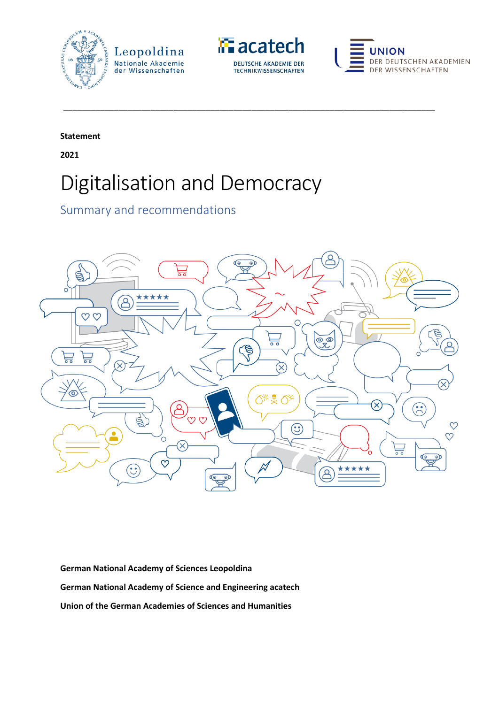



\_\_\_\_\_\_\_\_\_\_\_\_\_\_\_\_\_\_\_\_\_\_\_\_\_\_\_\_\_\_\_\_\_\_\_\_\_\_\_\_\_\_\_\_\_\_\_\_\_\_\_\_\_\_\_\_\_\_\_\_\_\_\_\_\_\_\_\_\_\_\_\_\_\_\_\_\_\_\_\_\_



**Statement** 

**2021**

# Digitalisation and Democracy

Summary and recommendations



**German National Academy of Sciences Leopoldina German National Academy of Science and Engineering acatech Union of the German Academies of Sciences and Humanities**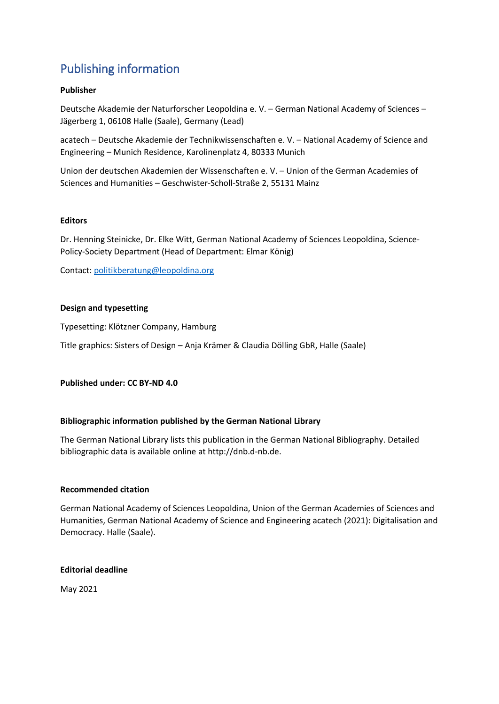# Publishing information

#### **Publisher**

Deutsche Akademie der Naturforscher Leopoldina e. V. – German National Academy of Sciences – Jägerberg 1, 06108 Halle (Saale), Germany (Lead)

acatech – Deutsche Akademie der Technikwissenschaften e. V. – National Academy of Science and Engineering – Munich Residence, Karolinenplatz 4, 80333 Munich

Union der deutschen Akademien der Wissenschaften e. V. – Union of the German Academies of Sciences and Humanities – Geschwister-Scholl-Straße 2, 55131 Mainz

#### **Editors**

Dr. Henning Steinicke, Dr. Elke Witt, German National Academy of Sciences Leopoldina, Science-Policy-Society Department (Head of Department: Elmar König)

Contact: [politikberatung@leopoldina.org](mailto:politikberatung@leopoldina.org)

#### **Design and typesetting**

Typesetting: Klötzner Company, Hamburg

Title graphics: Sisters of Design – Anja Krämer & Claudia Dölling GbR, Halle (Saale)

**Published under: CC BY-ND 4.0**

#### **Bibliographic information published by the German National Library**

The German National Library lists this publication in the German National Bibliography. Detailed bibliographic data is available online at http://dnb.d-nb.de.

#### **Recommended citation**

German National Academy of Sciences Leopoldina, Union of the German Academies of Sciences and Humanities, German National Academy of Science and Engineering acatech (2021): Digitalisation and Democracy. Halle (Saale).

#### **Editorial deadline**

May 2021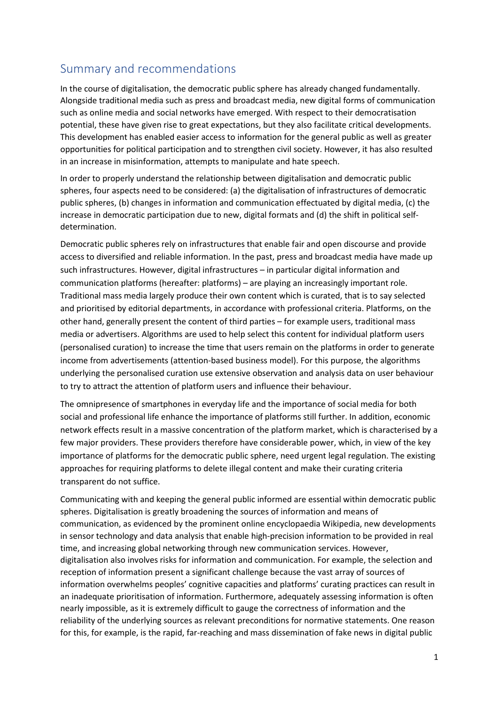# Summary and recommendations

In the course of digitalisation, the democratic public sphere has already changed fundamentally. Alongside traditional media such as press and broadcast media, new digital forms of communication such as online media and social networks have emerged. With respect to their democratisation potential, these have given rise to great expectations, but they also facilitate critical developments. This development has enabled easier access to information for the general public as well as greater opportunities for political participation and to strengthen civil society. However, it has also resulted in an increase in misinformation, attempts to manipulate and hate speech.

In order to properly understand the relationship between digitalisation and democratic public spheres, four aspects need to be considered: (a) the digitalisation of infrastructures of democratic public spheres, (b) changes in information and communication effectuated by digital media, (c) the increase in democratic participation due to new, digital formats and (d) the shift in political selfdetermination.

Democratic public spheres rely on infrastructures that enable fair and open discourse and provide access to diversified and reliable information. In the past, press and broadcast media have made up such infrastructures. However, digital infrastructures – in particular digital information and communication platforms (hereafter: platforms) – are playing an increasingly important role. Traditional mass media largely produce their own content which is curated, that is to say selected and prioritised by editorial departments, in accordance with professional criteria. Platforms, on the other hand, generally present the content of third parties – for example users, traditional mass media or advertisers. Algorithms are used to help select this content for individual platform users (personalised curation) to increase the time that users remain on the platforms in order to generate income from advertisements (attention-based business model). For this purpose, the algorithms underlying the personalised curation use extensive observation and analysis data on user behaviour to try to attract the attention of platform users and influence their behaviour.

The omnipresence of smartphones in everyday life and the importance of social media for both social and professional life enhance the importance of platforms still further. In addition, economic network effects result in a massive concentration of the platform market, which is characterised by a few major providers. These providers therefore have considerable power, which, in view of the key importance of platforms for the democratic public sphere, need urgent legal regulation. The existing approaches for requiring platforms to delete illegal content and make their curating criteria transparent do not suffice.

Communicating with and keeping the general public informed are essential within democratic public spheres. Digitalisation is greatly broadening the sources of information and means of communication, as evidenced by the prominent online encyclopaedia Wikipedia, new developments in sensor technology and data analysis that enable high-precision information to be provided in real time, and increasing global networking through new communication services. However, digitalisation also involves risks for information and communication. For example, the selection and reception of information present a significant challenge because the vast array of sources of information overwhelms peoples' cognitive capacities and platforms' curating practices can result in an inadequate prioritisation of information. Furthermore, adequately assessing information is often nearly impossible, as it is extremely difficult to gauge the correctness of information and the reliability of the underlying sources as relevant preconditions for normative statements. One reason for this, for example, is the rapid, far-reaching and mass dissemination of fake news in digital public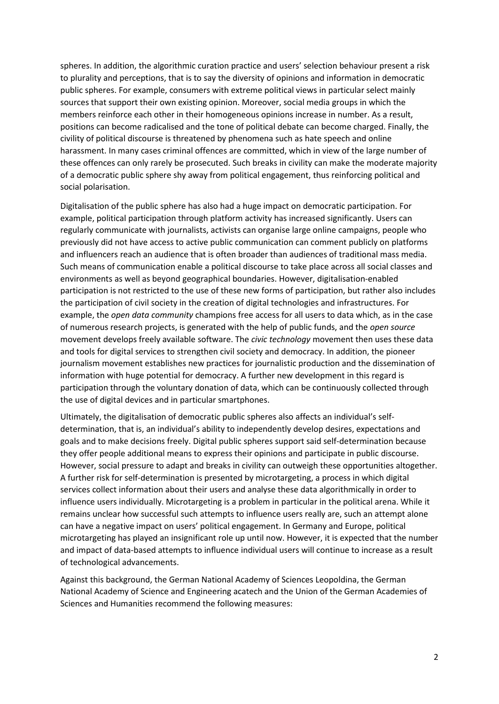spheres. In addition, the algorithmic curation practice and users' selection behaviour present a risk to plurality and perceptions, that is to say the diversity of opinions and information in democratic public spheres. For example, consumers with extreme political views in particular select mainly sources that support their own existing opinion. Moreover, social media groups in which the members reinforce each other in their homogeneous opinions increase in number. As a result, positions can become radicalised and the tone of political debate can become charged. Finally, the civility of political discourse is threatened by phenomena such as hate speech and online harassment. In many cases criminal offences are committed, which in view of the large number of these offences can only rarely be prosecuted. Such breaks in civility can make the moderate majority of a democratic public sphere shy away from political engagement, thus reinforcing political and social polarisation.

Digitalisation of the public sphere has also had a huge impact on democratic participation. For example, political participation through platform activity has increased significantly. Users can regularly communicate with journalists, activists can organise large online campaigns, people who previously did not have access to active public communication can comment publicly on platforms and influencers reach an audience that is often broader than audiences of traditional mass media. Such means of communication enable a political discourse to take place across all social classes and environments as well as beyond geographical boundaries. However, digitalisation-enabled participation is not restricted to the use of these new forms of participation, but rather also includes the participation of civil society in the creation of digital technologies and infrastructures. For example, the *open data community* champions free access for all users to data which, as in the case of numerous research projects, is generated with the help of public funds, and the *open source* movement develops freely available software. The *civic technology* movement then uses these data and tools for digital services to strengthen civil society and democracy. In addition, the pioneer journalism movement establishes new practices for journalistic production and the dissemination of information with huge potential for democracy. A further new development in this regard is participation through the voluntary donation of data, which can be continuously collected through the use of digital devices and in particular smartphones.

Ultimately, the digitalisation of democratic public spheres also affects an individual's selfdetermination, that is, an individual's ability to independently develop desires, expectations and goals and to make decisions freely. Digital public spheres support said self-determination because they offer people additional means to express their opinions and participate in public discourse. However, social pressure to adapt and breaks in civility can outweigh these opportunities altogether. A further risk for self-determination is presented by microtargeting, a process in which digital services collect information about their users and analyse these data algorithmically in order to influence users individually. Microtargeting is a problem in particular in the political arena. While it remains unclear how successful such attempts to influence users really are, such an attempt alone can have a negative impact on users' political engagement. In Germany and Europe, political microtargeting has played an insignificant role up until now. However, it is expected that the number and impact of data-based attempts to influence individual users will continue to increase as a result of technological advancements.

Against this background, the German National Academy of Sciences Leopoldina, the German National Academy of Science and Engineering acatech and the Union of the German Academies of Sciences and Humanities recommend the following measures: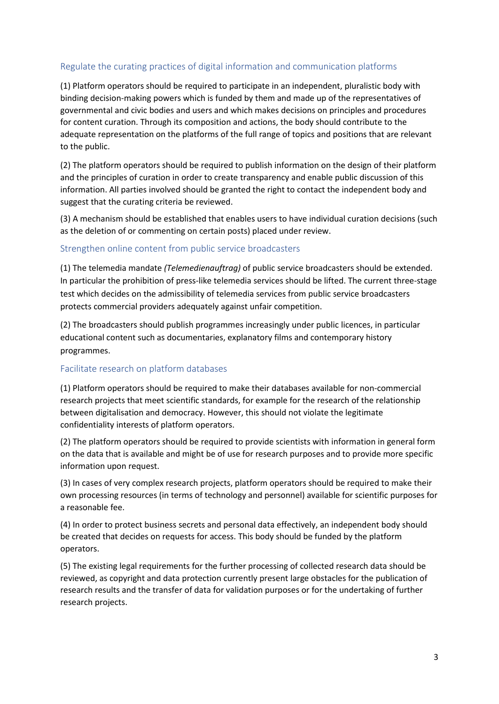# Regulate the curating practices of digital information and communication platforms

(1) Platform operators should be required to participate in an independent, pluralistic body with binding decision-making powers which is funded by them and made up of the representatives of governmental and civic bodies and users and which makes decisions on principles and procedures for content curation. Through its composition and actions, the body should contribute to the adequate representation on the platforms of the full range of topics and positions that are relevant to the public.

(2) The platform operators should be required to publish information on the design of their platform and the principles of curation in order to create transparency and enable public discussion of this information. All parties involved should be granted the right to contact the independent body and suggest that the curating criteria be reviewed.

(3) A mechanism should be established that enables users to have individual curation decisions (such as the deletion of or commenting on certain posts) placed under review.

#### Strengthen online content from public service broadcasters

(1) The telemedia mandate *(Telemedienauftrag)* of public service broadcasters should be extended. In particular the prohibition of press-like telemedia services should be lifted. The current three-stage test which decides on the admissibility of telemedia services from public service broadcasters protects commercial providers adequately against unfair competition.

(2) The broadcasters should publish programmes increasingly under public licences, in particular educational content such as documentaries, explanatory films and contemporary history programmes.

#### Facilitate research on platform databases

(1) Platform operators should be required to make their databases available for non-commercial research projects that meet scientific standards, for example for the research of the relationship between digitalisation and democracy. However, this should not violate the legitimate confidentiality interests of platform operators.

(2) The platform operators should be required to provide scientists with information in general form on the data that is available and might be of use for research purposes and to provide more specific information upon request.

(3) In cases of very complex research projects, platform operators should be required to make their own processing resources (in terms of technology and personnel) available for scientific purposes for a reasonable fee.

(4) In order to protect business secrets and personal data effectively, an independent body should be created that decides on requests for access. This body should be funded by the platform operators.

(5) The existing legal requirements for the further processing of collected research data should be reviewed, as copyright and data protection currently present large obstacles for the publication of research results and the transfer of data for validation purposes or for the undertaking of further research projects.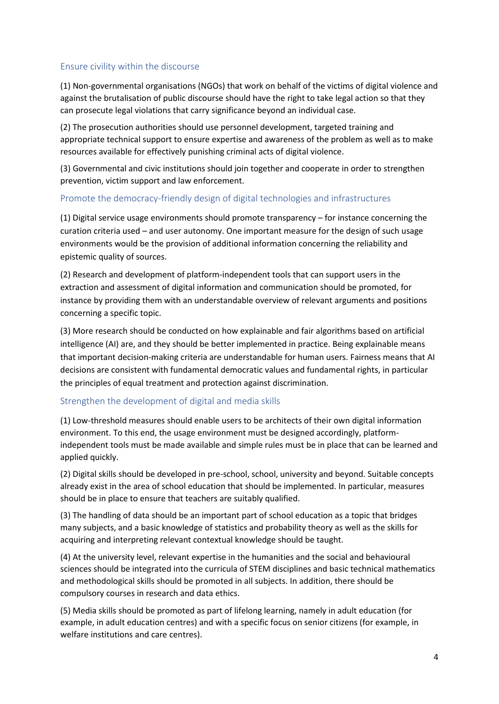# Ensure civility within the discourse

(1) Non-governmental organisations (NGOs) that work on behalf of the victims of digital violence and against the brutalisation of public discourse should have the right to take legal action so that they can prosecute legal violations that carry significance beyond an individual case.

(2) The prosecution authorities should use personnel development, targeted training and appropriate technical support to ensure expertise and awareness of the problem as well as to make resources available for effectively punishing criminal acts of digital violence.

(3) Governmental and civic institutions should join together and cooperate in order to strengthen prevention, victim support and law enforcement.

# Promote the democracy-friendly design of digital technologies and infrastructures

(1) Digital service usage environments should promote transparency – for instance concerning the curation criteria used – and user autonomy. One important measure for the design of such usage environments would be the provision of additional information concerning the reliability and epistemic quality of sources.

(2) Research and development of platform-independent tools that can support users in the extraction and assessment of digital information and communication should be promoted, for instance by providing them with an understandable overview of relevant arguments and positions concerning a specific topic.

(3) More research should be conducted on how explainable and fair algorithms based on artificial intelligence (AI) are, and they should be better implemented in practice. Being explainable means that important decision-making criteria are understandable for human users. Fairness means that AI decisions are consistent with fundamental democratic values and fundamental rights, in particular the principles of equal treatment and protection against discrimination.

# Strengthen the development of digital and media skills

(1) Low-threshold measures should enable users to be architects of their own digital information environment. To this end, the usage environment must be designed accordingly, platformindependent tools must be made available and simple rules must be in place that can be learned and applied quickly.

(2) Digital skills should be developed in pre-school, school, university and beyond. Suitable concepts already exist in the area of school education that should be implemented. In particular, measures should be in place to ensure that teachers are suitably qualified.

(3) The handling of data should be an important part of school education as a topic that bridges many subjects, and a basic knowledge of statistics and probability theory as well as the skills for acquiring and interpreting relevant contextual knowledge should be taught.

(4) At the university level, relevant expertise in the humanities and the social and behavioural sciences should be integrated into the curricula of STEM disciplines and basic technical mathematics and methodological skills should be promoted in all subjects. In addition, there should be compulsory courses in research and data ethics.

(5) Media skills should be promoted as part of lifelong learning, namely in adult education (for example, in adult education centres) and with a specific focus on senior citizens (for example, in welfare institutions and care centres).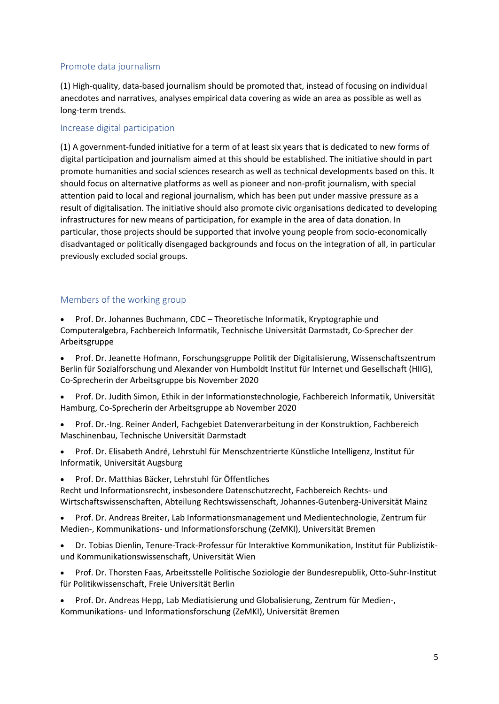# Promote data journalism

(1) High-quality, data-based journalism should be promoted that, instead of focusing on individual anecdotes and narratives, analyses empirical data covering as wide an area as possible as well as long-term trends.

# Increase digital participation

(1) A government-funded initiative for a term of at least six years that is dedicated to new forms of digital participation and journalism aimed at this should be established. The initiative should in part promote humanities and social sciences research as well as technical developments based on this. It should focus on alternative platforms as well as pioneer and non-profit journalism, with special attention paid to local and regional journalism, which has been put under massive pressure as a result of digitalisation. The initiative should also promote civic organisations dedicated to developing infrastructures for new means of participation, for example in the area of data donation. In particular, those projects should be supported that involve young people from socio-economically disadvantaged or politically disengaged backgrounds and focus on the integration of all, in particular previously excluded social groups.

# Members of the working group

• Prof. Dr. Johannes Buchmann, CDC – Theoretische Informatik, Kryptographie und Computeralgebra, Fachbereich Informatik, Technische Universität Darmstadt, Co-Sprecher der Arbeitsgruppe

• Prof. Dr. Jeanette Hofmann, Forschungsgruppe Politik der Digitalisierung, Wissenschaftszentrum Berlin für Sozialforschung und Alexander von Humboldt Institut für Internet und Gesellschaft (HIIG), Co-Sprecherin der Arbeitsgruppe bis November 2020

• Prof. Dr. Judith Simon, Ethik in der Informationstechnologie, Fachbereich Informatik, Universität Hamburg, Co-Sprecherin der Arbeitsgruppe ab November 2020

- Prof. Dr.-Ing. Reiner Anderl, Fachgebiet Datenverarbeitung in der Konstruktion, Fachbereich Maschinenbau, Technische Universität Darmstadt
- Prof. Dr. Elisabeth André, Lehrstuhl für Menschzentrierte Künstliche Intelligenz, Institut für Informatik, Universität Augsburg
- Prof. Dr. Matthias Bäcker, Lehrstuhl für Öffentliches

Recht und Informationsrecht, insbesondere Datenschutzrecht, Fachbereich Rechts- und Wirtschaftswissenschaften, Abteilung Rechtswissenschaft, Johannes-Gutenberg-Universität Mainz

• Prof. Dr. Andreas Breiter, Lab Informationsmanagement und Medientechnologie, Zentrum für Medien-, Kommunikations- und Informationsforschung (ZeMKI), Universität Bremen

• Dr. Tobias Dienlin, Tenure-Track-Professur für Interaktive Kommunikation, Institut für Publizistikund Kommunikationswissenschaft, Universität Wien

• Prof. Dr. Thorsten Faas, Arbeitsstelle Politische Soziologie der Bundesrepublik, Otto-Suhr-Institut für Politikwissenschaft, Freie Universität Berlin

• Prof. Dr. Andreas Hepp, Lab Mediatisierung und Globalisierung, Zentrum für Medien-, Kommunikations- und Informationsforschung (ZeMKI), Universität Bremen